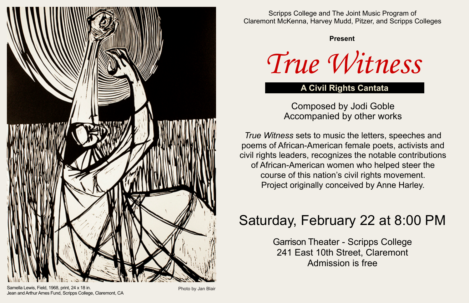

Scripps College and The Joint Music Program of Claremont McKenna, Harvey Mudd, Pitzer, and Scripps Colleges

#### **Present**

*True Witness*

# **A Civil Rights Cantata**

Composed by Jodi Goble Accompanied by other works

*True Witness* sets to music the letters, speeches and poems of African-American female poets, activists and civil rights leaders, recognizes the notable contributions of African-American women who helped steer the course of this nation's civil rights movement. Project originally conceived by Anne Harley.

# Saturday, February 22 at 8:00 PM

Garrison Theater - Scripps College 241 East 10th Street, Claremont Admission is free